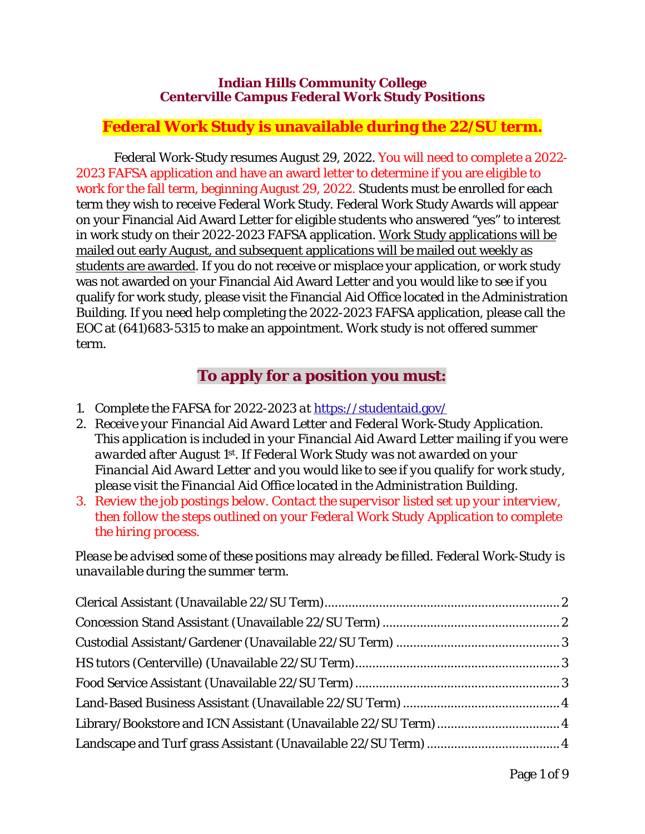#### **Indian Hills Community College Centerville Campus Federal Work Study Positions**

# **Federal Work Study is unavailable during the 22/SU term.**

Federal Work-Study resumes August 29, 2022. You will need to complete a 2022- 2023 FAFSA application and have an award letter to determine if you are eligible to work for the fall term, beginning August 29, 2022. Students must be enrolled for each term they wish to receive Federal Work Study. Federal Work Study Awards will appear on your Financial Aid Award Letter for eligible students who answered "yes" to interest in work study on their 2022-2023 FAFSA application. Work Study applications will be mailed out early August, and subsequent applications will be mailed out weekly as students are awarded. If you do not receive or misplace your application, or work study was not awarded on your Financial Aid Award Letter and you would like to see if you qualify for work study, please visit the Financial Aid Office located in the Administration Building. If you need help completing the 2022-2023 FAFSA application, please call the EOC at (641)683-5315 to make an appointment. Work study is not offered summer term.

# **To apply for a position you must:**

- *1. Complete the FAFSA for 2022-2023 at* https://studentaid.gov/
- *2. Receive your Financial Aid Award Letter and Federal Work-Study Application. This application is included in your Financial Aid Award Letter mailing if you were awarded after August 1st. If Federal Work Study was not awarded on your Financial Aid Award Letter and you would like to see if you qualify for work study, please visit the Financial Aid Office located in the Administration Building.*
- *3. Review the job postings below. Contact the supervisor listed set up your interview, then follow the steps outlined on your Federal Work Study Application to complete the hiring process.*

*Please be advised some of these positions may already be filled. Federal Work-Study is unavailable during the summer term.*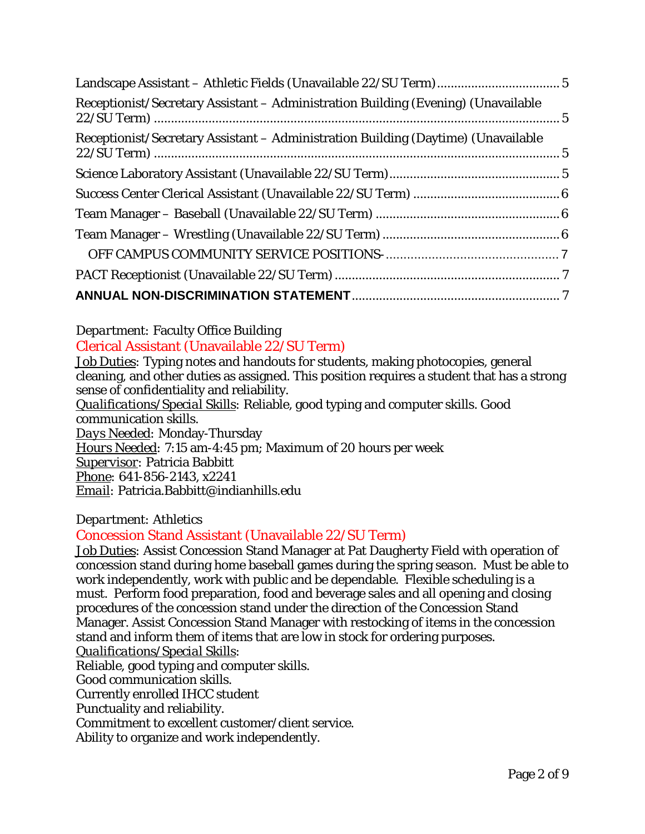| Receptionist/Secretary Assistant - Administration Building (Evening) (Unavailable |  |
|-----------------------------------------------------------------------------------|--|
| Receptionist/Secretary Assistant - Administration Building (Daytime) (Unavailable |  |
|                                                                                   |  |
|                                                                                   |  |
|                                                                                   |  |
|                                                                                   |  |
|                                                                                   |  |
|                                                                                   |  |
|                                                                                   |  |

<span id="page-1-0"></span>*Department:* Faculty Office Building Clerical Assistant (Unavailable 22/SU Term)

*Job Duties:* Typing notes and handouts for students, making photocopies, general cleaning, and other duties as assigned. This position requires a student that has a strong sense of confidentiality and reliability.

*Qualifications/Special Skills:* Reliable, good typing and computer skills. Good communication skills.

*Days Needed:* Monday-Thursday *Hours Needed:* 7:15 am-4:45 pm; Maximum of 20 hours per week *Supervisor:* Patricia Babbitt *Phone:* 641-856-2143, x2241 *Email:* Patricia.Babbitt@indianhills.edu

# *Department:* Athletics

# <span id="page-1-1"></span>Concession Stand Assistant (Unavailable 22/SU Term)

*Job Duties:* Assist Concession Stand Manager at Pat Daugherty Field with operation of concession stand during home baseball games during the spring season. Must be able to work independently, work with public and be dependable. Flexible scheduling is a must. Perform food preparation, food and beverage sales and all opening and closing procedures of the concession stand under the direction of the Concession Stand Manager. Assist Concession Stand Manager with restocking of items in the concession stand and inform them of items that are low in stock for ordering purposes.

*Qualifications/Special Skills:* 

Reliable, good typing and computer skills.

Good communication skills.

Currently enrolled IHCC student

Punctuality and reliability.

Commitment to excellent customer/client service.

Ability to organize and work independently.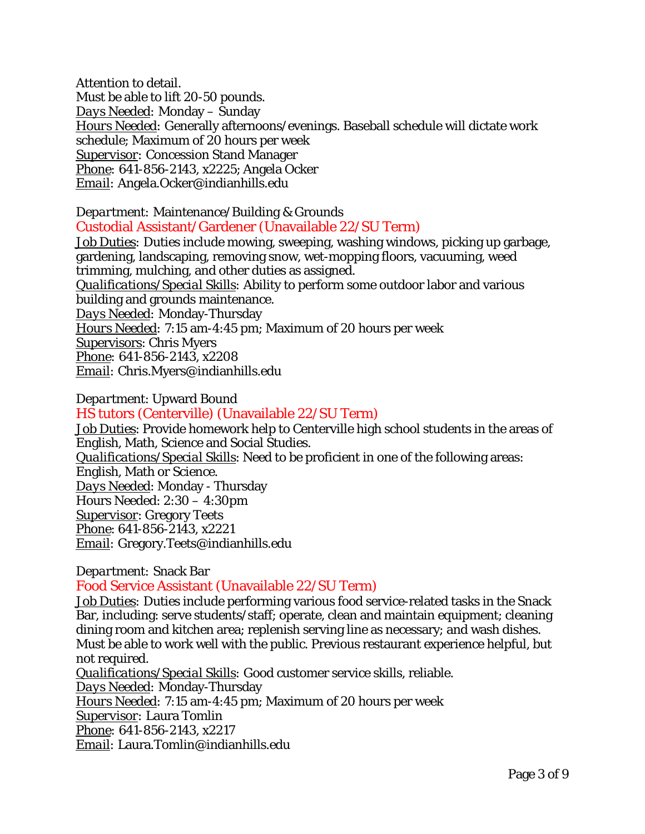Attention to detail. Must be able to lift 20-50 pounds. *Days Needed:* Monday – Sunday *Hours Needed:* Generally afternoons/evenings. Baseball schedule will dictate work schedule; Maximum of 20 hours per week *Supervisor:* Concession Stand Manager *Phone:* 641-856-2143, x2225; Angela Ocker *Email:* Angela.Ocker@indianhills.edu

<span id="page-2-0"></span>*Department:* Maintenance/Building & Grounds Custodial Assistant/Gardener (Unavailable 22/SU Term)

*Job Duties:* Duties include mowing, sweeping, washing windows, picking up garbage, gardening, landscaping, removing snow, wet-mopping floors, vacuuming, weed trimming, mulching, and other duties as assigned. *Qualifications/Special Skills:* Ability to perform some outdoor labor and various building and grounds maintenance. *Days Needed:* Monday-Thursday *Hours Needed:* 7:15 am-4:45 pm; Maximum of 20 hours per week Supervisors: Chris Myers *Phone:* 641-856-2143, x2208 *Email:* Chris.Myers@indianhills.edu

*Department*: Upward Bound

<span id="page-2-1"></span>HS tutors (Centerville) (Unavailable 22/SU Term)

*Job Duties*: Provide homework help to Centerville high school students in the areas of English, Math, Science and Social Studies. *Qualifications/Special Skills*: Need to be proficient in one of the following areas: English, Math or Science. *Days Needed*: Monday - Thursday Hours Needed: 2:30 – 4:30pm *Supervisor*: Gregory Teets *Phone*: 641-856-2143, x2221 *Email:* Gregory.Teets@indianhills.edu

*Department:* Snack Bar

<span id="page-2-2"></span>Food Service Assistant (Unavailable 22/SU Term)

*Job Duties:* Duties include performing various food service-related tasks in the Snack Bar, including: serve students/staff; operate, clean and maintain equipment; cleaning dining room and kitchen area; replenish serving line as necessary; and wash dishes. Must be able to work well with the public. Previous restaurant experience helpful, but not required.

*Qualifications/Special Skills:* Good customer service skills, reliable.

*Days Needed:* Monday-Thursday

*Hours Needed:* 7:15 am-4:45 pm; Maximum of 20 hours per week

*Supervisor:* Laura Tomlin

*Phone:* 641-856-2143, x2217

*Email:* Laura.Tomlin@indianhills.edu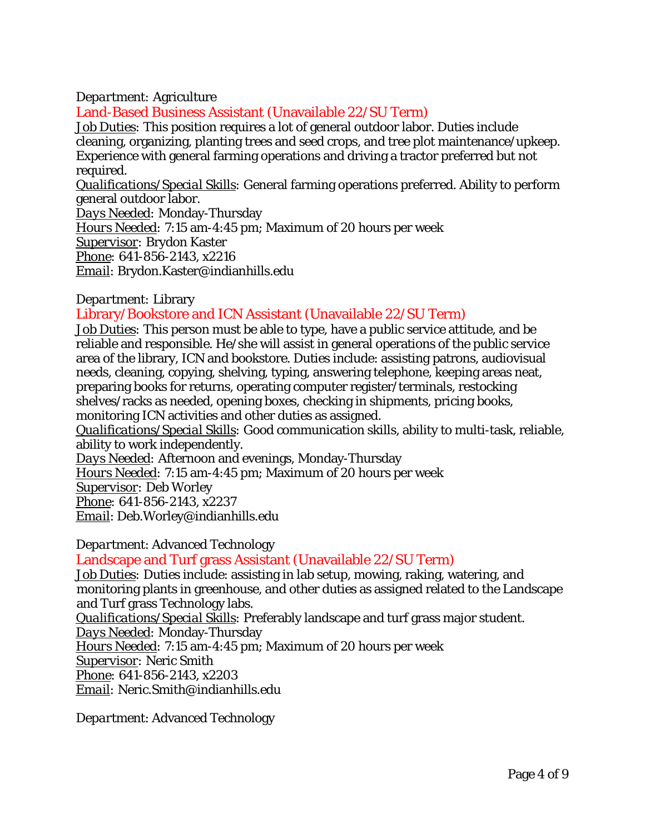#### *Department:* Agriculture

# <span id="page-3-0"></span>Land-Based Business Assistant (Unavailable 22/SU Term)

*Job Duties:* This position requires a lot of general outdoor labor. Duties include cleaning, organizing, planting trees and seed crops, and tree plot maintenance/upkeep. Experience with general farming operations and driving a tractor preferred but not required.

*Qualifications/Special Skills:* General farming operations preferred. Ability to perform general outdoor labor.

*Days Needed:* Monday-Thursday

*Hours Needed:* 7:15 am-4:45 pm; Maximum of 20 hours per week

*Supervisor:* Brydon Kaster

*Phone:* 641-856-2143, x2216

*Email*: Brydon.Kaster@indianhills.edu

#### *Department:* Library

# <span id="page-3-1"></span>Library/Bookstore and ICN Assistant (Unavailable 22/SU Term)

*Job Duties:* This person must be able to type, have a public service attitude, and be reliable and responsible. He/she will assist in general operations of the public service area of the library, ICN and bookstore. Duties include: assisting patrons, audiovisual needs, cleaning, copying, shelving, typing, answering telephone, keeping areas neat, preparing books for returns, operating computer register/terminals, restocking shelves/racks as needed, opening boxes, checking in shipments, pricing books, monitoring ICN activities and other duties as assigned.

*Qualifications/Special Skills:* Good communication skills, ability to multi-task, reliable, ability to work independently.

*Days Needed:* Afternoon and evenings, Monday-Thursday

*Hours Needed:* 7:15 am-4:45 pm; Maximum of 20 hours per week

*Supervisor:* Deb Worley

*Phone:* 641-856-2143, x2237

*Email*: Deb.Worley@indianhills.edu

### *Department*: Advanced Technology

### <span id="page-3-2"></span>Landscape and Turf grass Assistant (Unavailable 22/SU Term)

*Job Duties:* Duties include: assisting in lab setup, mowing, raking, watering, and monitoring plants in greenhouse, and other duties as assigned related to the Landscape and Turf grass Technology labs.

*Qualifications/Special Skills:* Preferably landscape and turf grass major student.

*Days Needed:* Monday-Thursday

*Hours Needed:* 7:15 am-4:45 pm; Maximum of 20 hours per week

*Supervisor:* Neric Smith

*Phone:* 641-856-2143, x2203

*Email:* Neric.Smith@indianhills.edu

*Department*: Advanced Technology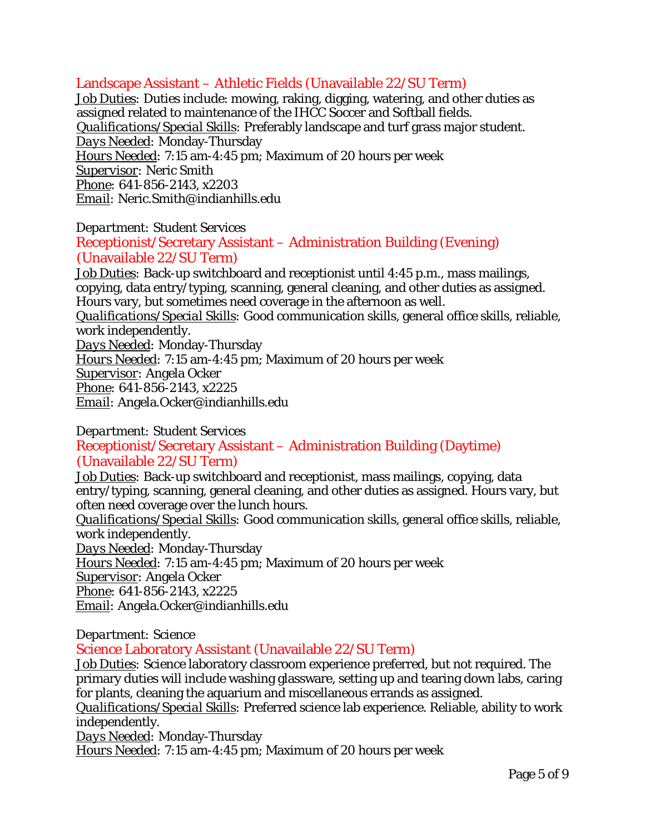# <span id="page-4-0"></span>Landscape Assistant – Athletic Fields (Unavailable 22/SU Term)

*Job Duties:* Duties include: mowing, raking, digging, watering, and other duties as assigned related to maintenance of the IHCC Soccer and Softball fields. *Qualifications/Special Skills:* Preferably landscape and turf grass major student. *Days Needed:* Monday-Thursday *Hours Needed:* 7:15 am-4:45 pm; Maximum of 20 hours per week *Supervisor:* Neric Smith *Phone:* 641-856-2143, x2203 *Email:* Neric.Smith@indianhills.edu

*Department:* Student Services

# <span id="page-4-1"></span>Receptionist/Secretary Assistant – Administration Building (Evening) (Unavailable 22/SU Term)

*Job Duties:* Back-up switchboard and receptionist until 4:45 p.m., mass mailings, copying, data entry/typing, scanning, general cleaning, and other duties as assigned. Hours vary, but sometimes need coverage in the afternoon as well. *Qualifications/Special Skills:* Good communication skills, general office skills, reliable, work independently. *Days Needed:* Monday-Thursday *Hours Needed:* 7:15 am-4:45 pm; Maximum of 20 hours per week *Supervisor:* Angela Ocker *Phone:* 641-856-2143, x2225 *Email:* Angela.Ocker@indianhills.edu

*Department:* Student Services

# <span id="page-4-2"></span>Receptionist/Secretary Assistant – Administration Building (Daytime) (Unavailable 22/SU Term)

*Job Duties:* Back-up switchboard and receptionist, mass mailings, copying, data entry/typing, scanning, general cleaning, and other duties as assigned. Hours vary, but often need coverage over the lunch hours.

*Qualifications/Special Skills:* Good communication skills, general office skills, reliable, work independently.

*Days Needed:* Monday-Thursday

*Hours Needed:* 7:15 am-4:45 pm; Maximum of 20 hours per week

*Supervisor:* Angela Ocker

*Phone:* 641-856-2143, x2225

*Email:* Angela.Ocker@indianhills.edu

*Department:* Science

# <span id="page-4-3"></span>Science Laboratory Assistant (Unavailable 22/SU Term)

*Job Duties:* Science laboratory classroom experience preferred, but not required. The primary duties will include washing glassware, setting up and tearing down labs, caring for plants, cleaning the aquarium and miscellaneous errands as assigned.

*Qualifications/Special Skills:* Preferred science lab experience. Reliable, ability to work independently.

*Days Needed:* Monday-Thursday

*Hours Needed:* 7:15 am-4:45 pm; Maximum of 20 hours per week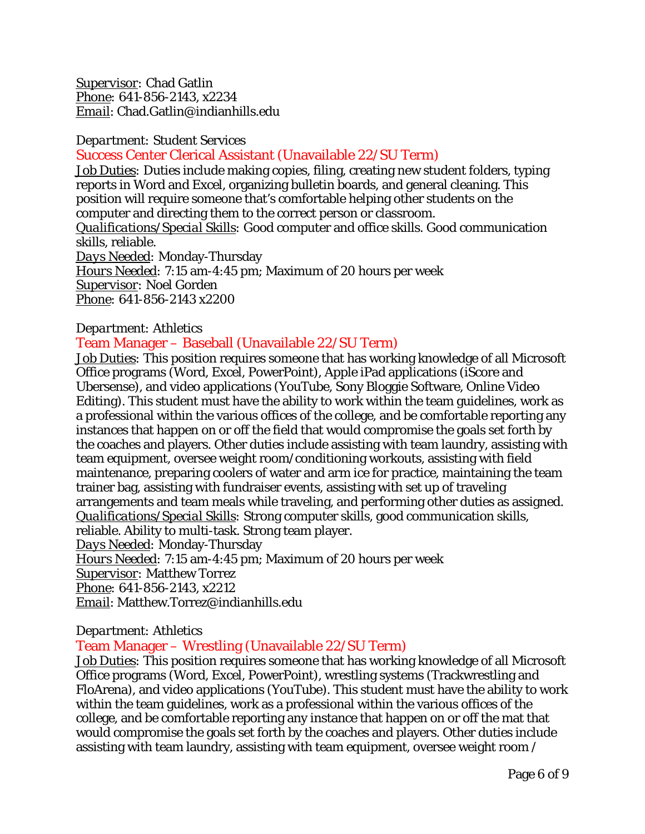*Supervisor:* Chad Gatlin *Phone:* 641-856-2143, x2234 *Email*: Chad.Gatlin@indianhills.edu

#### *Department:* Student Services

<span id="page-5-0"></span>Success Center Clerical Assistant (Unavailable 22/SU Term)

*Job Duties:* Duties include making copies, filing, creating new student folders, typing reports in Word and Excel, organizing bulletin boards, and general cleaning. This position will require someone that's comfortable helping other students on the computer and directing them to the correct person or classroom. *Qualifications/Special Skills:* Good computer and office skills. Good communication skills, reliable. *Days Needed:* Monday-Thursday *Hours Needed:* 7:15 am-4:45 pm; Maximum of 20 hours per week *Supervisor:* Noel Gorden *Phone:* 641-856-2143 x2200

### *Department:* Athletics

# <span id="page-5-1"></span>Team Manager – Baseball (Unavailable 22/SU Term)

*Job Duties:* This position requires someone that has working knowledge of all Microsoft Office programs (Word, Excel, PowerPoint), Apple iPad applications (iScore and Ubersense), and video applications (YouTube, Sony Bloggie Software, Online Video Editing). This student must have the ability to work within the team guidelines, work as a professional within the various offices of the college, and be comfortable reporting any instances that happen on or off the field that would compromise the goals set forth by the coaches and players. Other duties include assisting with team laundry, assisting with team equipment, oversee weight room/conditioning workouts, assisting with field maintenance, preparing coolers of water and arm ice for practice, maintaining the team trainer bag, assisting with fundraiser events, assisting with set up of traveling arrangements and team meals while traveling, and performing other duties as assigned. *Qualifications/Special Skills:* Strong computer skills, good communication skills, reliable. Ability to multi-task. Strong team player.

*Days Needed:* Monday-Thursday

*Hours Needed:* 7:15 am-4:45 pm; Maximum of 20 hours per week

*Supervisor:* Matthew Torrez

*Phone:* 641-856-2143, x2212

*Email*: Matthew.Torrez@indianhills.edu

### *Department:* Athletics

# <span id="page-5-2"></span>Team Manager – Wrestling (Unavailable 22/SU Term)

*Job Duties:* This position requires someone that has working knowledge of all Microsoft Office programs (Word, Excel, PowerPoint), wrestling systems (Trackwrestling and FloArena), and video applications (YouTube). This student must have the ability to work within the team guidelines, work as a professional within the various offices of the college, and be comfortable reporting any instance that happen on or off the mat that would compromise the goals set forth by the coaches and players. Other duties include assisting with team laundry, assisting with team equipment, oversee weight room /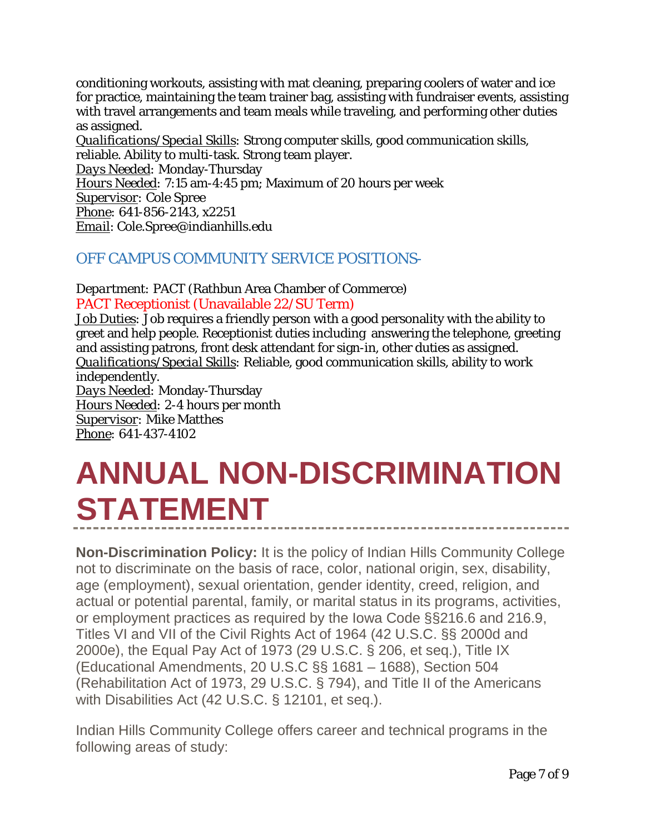conditioning workouts, assisting with mat cleaning, preparing coolers of water and ice for practice, maintaining the team trainer bag, assisting with fundraiser events, assisting with travel arrangements and team meals while traveling, and performing other duties as assigned.

*Qualifications/Special Skills:* Strong computer skills, good communication skills, reliable. Ability to multi-task. Strong team player. *Days Needed:* Monday-Thursday *Hours Needed:* 7:15 am-4:45 pm; Maximum of 20 hours per week *Supervisor:* Cole Spree *Phone:* 641-856-2143, x2251 *Email*: Cole.Spree@indianhills.edu

# <span id="page-6-0"></span>OFF CAMPUS COMMUNITY SERVICE POSITIONS-

<span id="page-6-1"></span>*Department:* PACT (Rathbun Area Chamber of Commerce) PACT Receptionist (Unavailable 22/SU Term)

*Job Duties:* Job requires a friendly person with a good personality with the ability to greet and help people. Receptionist duties including answering the telephone, greeting and assisting patrons, front desk attendant for sign-in, other duties as assigned. *Qualifications/Special Skills:* Reliable, good communication skills, ability to work independently. *Days Needed:* Monday-Thursday *Hours Needed:* 2-4 hours per month *Supervisor:* Mike Matthes

*Phone:* 641-437-4102

# <span id="page-6-2"></span>**ANNUAL NON-DISCRIMINATION STATEMENT**

**Non-Discrimination Policy:** It is the policy of Indian Hills Community College not to discriminate on the basis of race, color, national origin, sex, disability, age (employment), sexual orientation, gender identity, creed, religion, and actual or potential parental, family, or marital status in its programs, activities, or employment practices as required by the Iowa Code §§216.6 and 216.9, Titles VI and VII of the Civil Rights Act of 1964 (42 U.S.C. §§ 2000d and 2000e), the Equal Pay Act of 1973 (29 U.S.C. § 206, et seq.), Title IX (Educational Amendments, 20 U.S.C §§ 1681 – 1688), Section 504 (Rehabilitation Act of 1973, 29 U.S.C. § 794), and Title II of the Americans with Disabilities Act (42 U.S.C. § 12101, et seq.).

Indian Hills Community College offers career and technical programs in the following areas of study: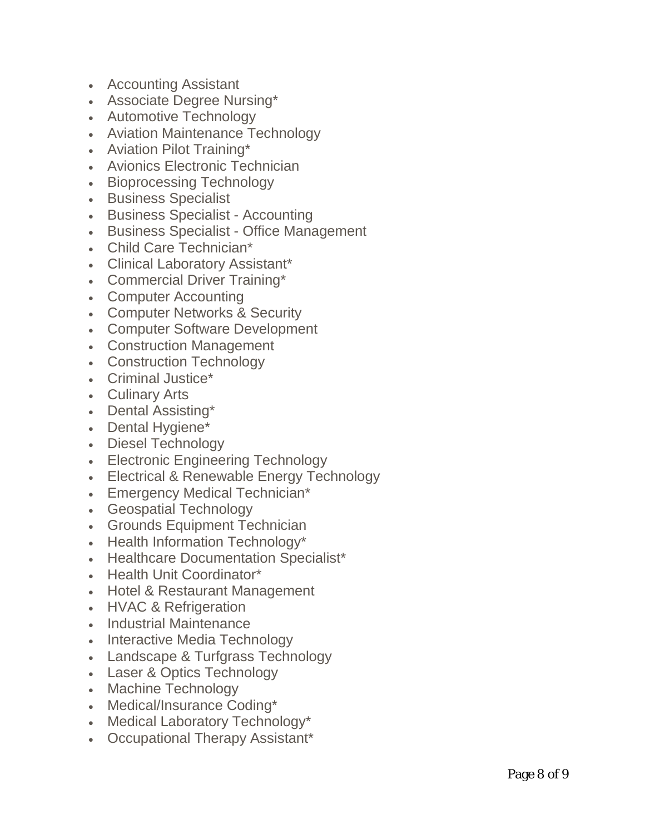- Accounting Assistant
- Associate Degree Nursing\*
- Automotive Technology
- Aviation Maintenance Technology
- Aviation Pilot Training\*
- Avionics Electronic Technician
- Bioprocessing Technology
- Business Specialist
- Business Specialist Accounting
- Business Specialist Office Management
- Child Care Technician\*
- Clinical Laboratory Assistant\*
- Commercial Driver Training\*
- Computer Accounting
- Computer Networks & Security
- Computer Software Development
- Construction Management
- Construction Technology
- Criminal Justice\*
- Culinary Arts
- Dental Assisting\*
- Dental Hygiene\*
- Diesel Technology
- Electronic Engineering Technology
- Electrical & Renewable Energy Technology
- Emergency Medical Technician\*
- Geospatial Technology
- Grounds Equipment Technician
- Health Information Technology\*
- Healthcare Documentation Specialist\*
- Health Unit Coordinator\*
- Hotel & Restaurant Management
- HVAC & Refrigeration
- Industrial Maintenance
- Interactive Media Technology
- Landscape & Turfgrass Technology
- Laser & Optics Technology
- Machine Technology
- Medical/Insurance Coding\*
- Medical Laboratory Technology\*
- Occupational Therapy Assistant\*